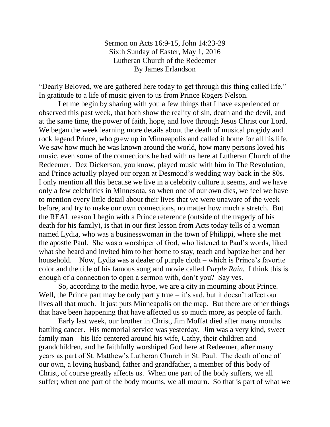Sermon on Acts 16:9-15, John 14:23-29 Sixth Sunday of Easter, May 1, 2016 Lutheran Church of the Redeemer By James Erlandson

"Dearly Beloved, we are gathered here today to get through this thing called life." In gratitude to a life of music given to us from Prince Rogers Nelson.

Let me begin by sharing with you a few things that I have experienced or observed this past week, that both show the reality of sin, death and the devil, and at the same time, the power of faith, hope, and love through Jesus Christ our Lord. We began the week learning more details about the death of musical progidy and rock legend Prince, who grew up in Minneapolis and called it home for all his life. We saw how much he was known around the world, how many persons loved his music, even some of the connections he had with us here at Lutheran Church of the Redeemer. Dez Dickerson, you know, played music with him in The Revolution, and Prince actually played our organ at Desmond's wedding way back in the 80s. I only mention all this because we live in a celebrity culture it seems, and we have only a few celebrities in Minnesota, so when one of our own dies, we feel we have to mention every little detail about their lives that we were unaware of the week before, and try to make our own connections, no matter how much a stretch. But the REAL reason I begin with a Prince reference (outside of the tragedy of his death for his family), is that in our first lesson from Acts today tells of a woman named Lydia, who was a businesswoman in the town of Philippi, where she met the apostle Paul. She was a worshiper of God, who listened to Paul's words, liked what she heard and invited him to her home to stay, teach and baptize her and her household. Now, Lydia was a dealer of purple cloth – which is Prince's favorite color and the title of his famous song and movie called *Purple Rain.* I think this is enough of a connection to open a sermon with, don't you? Say yes.

So, according to the media hype, we are a city in mourning about Prince. Well, the Prince part may be only partly true  $-$  it's sad, but it doesn't affect our lives all that much. It just puts Minneapolis on the map. But there are other things that have been happening that have affected us so much more, as people of faith.

Early last week, our brother in Christ, Jim Moffat died after many months battling cancer. His memorial service was yesterday. Jim was a very kind, sweet family man – his life centered around his wife, Cathy, their children and grandchildren, and he faithfully worshiped God here at Redeemer, after many years as part of St. Matthew's Lutheran Church in St. Paul. The death of one of our own, a loving husband, father and grandfather, a member of this body of Christ, of course greatly affects us. When one part of the body suffers, we all suffer; when one part of the body mourns, we all mourn. So that is part of what we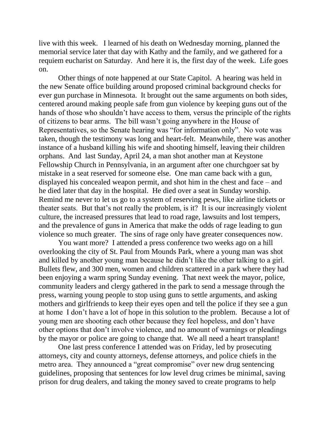live with this week. I learned of his death on Wednesday morning, planned the memorial service later that day with Kathy and the family, and we gathered for a requiem eucharist on Saturday. And here it is, the first day of the week. Life goes on.

Other things of note happened at our State Capitol. A hearing was held in the new Senate office building around proposed criminal background checks for ever gun purchase in Minnesota. It brought out the same arguments on both sides, centered around making people safe from gun violence by keeping guns out of the hands of those who shouldn't have access to them, versus the principle of the rights of citizens to bear arms. The bill wasn't going anywhere in the House of Representatives, so the Senate hearing was "for information only". No vote was taken, though the testimony was long and heart-felt. Meanwhile, there was another instance of a husband killing his wife and shooting himself, leaving their children orphans. And last Sunday, April 24, a man shot another man at Keystone Fellowship Church in Pennsylvania, in an argument after one churchgoer sat by mistake in a seat reserved for someone else. One man came back with a gun, displayed his concealed weapon permit, and shot him in the chest and face – and he died later that day in the hospital. He died over a seat in Sunday worship. Remind me never to let us go to a system of reserving pews, like airline tickets or theater seats. But that's not really the problem, is it? It is our increasingly violent culture, the increased pressures that lead to road rage, lawsuits and lost tempers, and the prevalence of guns in America that make the odds of rage leading to gun violence so much greater. The sins of rage only have greater consequences now.

You want more? I attended a press conference two weeks ago on a hill overlooking the city of St. Paul from Mounds Park, where a young man was shot and killed by another young man because he didn't like the other talking to a girl. Bullets flew, and 300 men, women and children scattered in a park where they had been enjoying a warm spring Sunday evening. That next week the mayor, police, community leaders and clergy gathered in the park to send a message through the press, warning young people to stop using guns to settle arguments, and asking mothers and girlfriends to keep their eyes open and tell the police if they see a gun at home I don't have a lot of hope in this solution to the problem. Because a lot of young men are shooting each other because they feel hopeless, and don't have other options that don't involve violence, and no amount of warnings or pleadings by the mayor or police are going to change that. We all need a heart transplant!

One last press conference I attended was on Friday, led by prosecuting attorneys, city and county attorneys, defense attorneys, and police chiefs in the metro area. They announced a "great compromise" over new drug sentencing guidelines, proposing that sentences for low level drug crimes be minimal, saving prison for drug dealers, and taking the money saved to create programs to help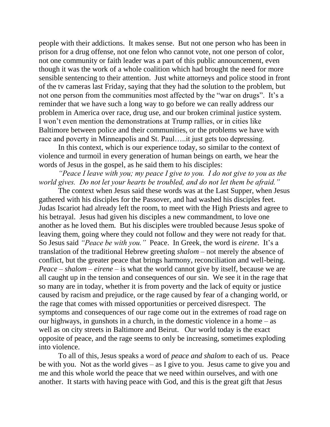people with their addictions. It makes sense. But not one person who has been in prison for a drug offense, not one felon who cannot vote, not one person of color, not one community or faith leader was a part of this public announcement, even though it was the work of a whole coalition which had brought the need for more sensible sentencing to their attention. Just white attorneys and police stood in front of the tv cameras last Friday, saying that they had the solution to the problem, but not one person from the communities most affected by the "war on drugs". It's a reminder that we have such a long way to go before we can really address our problem in America over race, drug use, and our broken criminal justice system. I won't even mention the demonstrations at Trump rallies, or in cities like Baltimore between police and their communities, or the problems we have with race and poverty in Minneapolis and St. Paul…..it just gets too depressing.

In this context, which is our experience today, so similar to the context of violence and turmoil in every generation of human beings on earth, we hear the words of Jesus in the gospel, as he said them to his disciples:

*"Peace I leave with you; my peace I give to you. I do not give to you as the world gives. Do not let your hearts be troubled, and do not let them be afraid."*

The context when Jesus said these words was at the Last Supper, when Jesus gathered with his disciples for the Passover, and had washed his disciples feet. Judas Iscariot had already left the room, to meet with the High Priests and agree to his betrayal. Jesus had given his disciples a new commandment, to love one another as he loved them. But his disciples were troubled because Jesus spoke of leaving them, going where they could not follow and they were not ready for that. So Jesus said *"Peace be with you."* Peace. In Greek, the word is *eirene.* It's a translation of the traditional Hebrew greeting *shalom* – not merely the absence of conflict, but the greater peace that brings harmony, reconciliation and well-being. *Peace – shalom – eirene –* is what the world cannot give by itself, because we are all caught up in the tension and consequences of our sin. We see it in the rage that so many are in today, whether it is from poverty and the lack of equity or justice caused by racism and prejudice, or the rage caused by fear of a changing world, or the rage that comes with missed opportunities or perceived disrespect. The symptoms and consequences of our rage come out in the extremes of road rage on our highways, in gunshots in a church, in the domestic violence in a home – as well as on city streets in Baltimore and Beirut. Our world today is the exact opposite of peace, and the rage seems to only be increasing, sometimes exploding into violence.

To all of this, Jesus speaks a word of *peace and shalom* to each of us. Peace be with you. Not as the world gives – as I give to you. Jesus came to give you and me and this whole world the peace that we need within ourselves, and with one another. It starts with having peace with God, and this is the great gift that Jesus